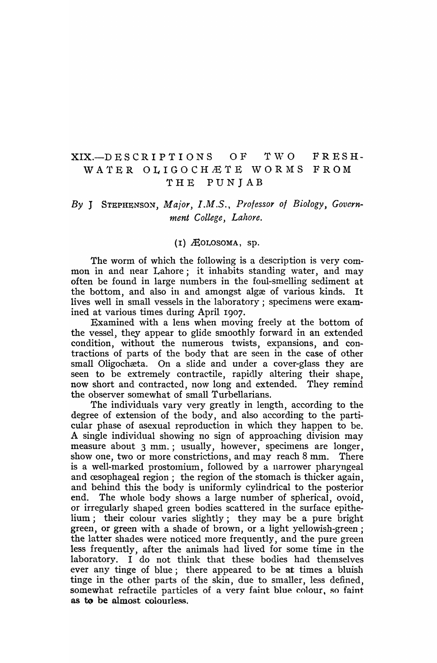# XIX.-DESCRIPTIONS OF TWO FRESH-WATER OLIGOCH ETE WORMS FROM THE PUNJAB

# By J STEPHENSON, Major, I.M.S., Professor of Biology, Govern*ment College, Lahore.*

## $(I)$   $A$ OLOSOMA, sp.

The worm of which the following is a description is very common in and near Lahore; it inhabits standing water, and may often be found in large numbers in the foul-smelling sediment at the bottom, and also in and amongst algee of various kinds. It lives well in small vessels in the laboratory; specimens were examined at various times during April 1907.

Examined with a lens when moving freely at the bottom of the vessel, they appear to glide smoothly forward in an extended condition, without the numerous twists, expansions, and contractions of parts of the body that are seen in the case of other small Oligochæta. On a slide and under a cover-glass they are seen to be extremely contractile, rapidly altering their shape, now short and contracted, now long and extended. They remind the observer somewhat of small Turbellarians.

The individuals vary very greatly in length, according to the degree of extension of the body, and also according to the particular phase of asexual reproduction in which they happen to be. A single individual showing no sign of approaching division may measure about 3 mm.; usually, however, specimens are longer, show one, two or more constrictions, and may reach 8 mm. There is a well-marked prostomium, followed by a narrower pharyngeal and cesophageal region; the region of the stomach is thicker again. and behind this the body is uniformly cylindrical to the posterior end. The whole body shows a large number of spherical, ovoid, or irregularly shaped green bodies scattered in the surface epithelium; their colour varies slightly; they may be a pure bright green, or green with a shade of brown, or a light yellowish-green; the latter shades were noticed more frequently, and the pure green less frequently, after the animals had lived for some time in the laboratory. I do not think that these bodies had themselves ever any tinge of blue; there appeared to be at times a bluish tinge in the other parts of the skin, due to smaller, less defined, somewhat refractile particles of a very faint blue colour, so faint as to be almost colourless.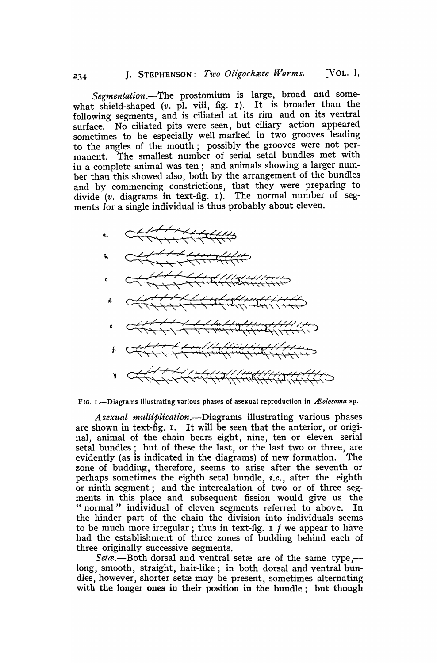*Segmentation.-The* prostomium is large, broad and somewhat shield-shaped (v. pl. viii, fig. 1). It is broader than the following segments, and is ciliated at its rim and on its ventral surface. No ciliated pits were seen, but ciliary action appeared sometimes to be especially well marked in two grooves leading to the angles of the mouth; possibly the grooves were not permanent. The smallest number of serial setal bundles met with in a complete animal was ten; and animals showing a larger number than this showed also, both by the arrangement of the bundles and by commencing constrictions, that they were preparing to divide (v. diagrams in text-fig. I). The normal number of segments for a single individual is thus probably about eleven.



FIG. 1.-Diagrams illustrating various phases of asexual reproduction in *Æolosoma* sp.

*A sexual multiplication.-Diagrams* illustrating various phases are shown in text-fig. I. It will be seen that the anterior, or original, animal of the chain bears eight, nine, ten or eleven serial setal bundles; but of these the last, or the last two or three, are evidently (as is indicated in the diagrams) of new formation. The zone of budding, therefore, seems to arise after the seventh or perhaps sometimes the eighth setal bundle, *i.e.,* after the eighth or ninth segment; and the intercalation of two or of three segments in this place and subsequent fission would give us the " normal" individual of eleven segments referred to above. In the hinder part of the chain the division into individuals seems to be much more irregular; thus in text-fig. I  $f$  we appear to have had the establishment of three zones of budding behind each of three originally successive segments.

*Seta*.--Both dorsal and ventral setæ are of the same type,-long, smooth, straight, hair-like; in both dorsal and ventral bundles, however, shorter setæ may be present, sometimes alternating with the longer ones in their position in the bundle; but though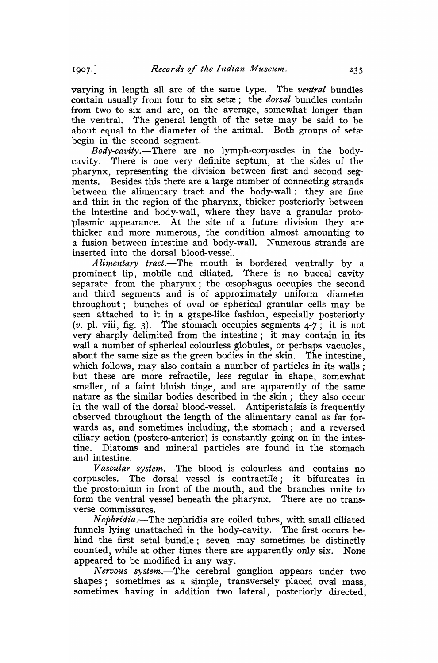$1907.$ 

varying in length all are of the same type. The *ventral* bundles contain usually from four to six setæ; the *dorsal* bundles contain from two to six and are, on the average, somewhat longer than the ventral. The general length of the setæ may be said to be about equal to the diameter of the animal. Both groups of setæ begin in the second segment.

*Body-cavity.-There* are no lymph-corpuscles in the bodycavity. There is one very definite septum, at the sides of the 'pharynx, representing the division between first and second segments. Besides this there are a large number of connecting strands between the alimentary tract and the body-wall: they are fine and thin in the region of the pharynx,. thicker posteriorly between the intestine and body-wall, where they have a granular proto plasmic appearance. At the site of a future division they are thicker and more numerous, the condition almost amounting to a fusion between intestine and body-wall. Numerous strands are inserted into the dorsal blood-vessel.

*Alimentary tract.-The* mouth is bordered ventrally by' a prominent lip, mobile and ciliated. There is no buccal cavity separate from the pharynx; the œsophagus occupies the second and third segments and is of approximately uniform diameter throughout; bunches of oval or: spherical granular cells may be seen attached to it in a grape-like fashion, especially posteriorly (v. pl. viii, fig. 3). The stomach occupies segments  $4-7$ ; it is not very sharply delimited from the intestine; it may contain in its wall a number of spherical colourless globules, or perhaps vacuoles, about the same size as the green bodies in the skin. The intestine, which follows, may also contain a number of particles in its walls; but these are more refractile, less regular in shape, somewhat smaller, of a faint bluish tinge, and are apparently of the same nature as the similar bodies described in the skin; they also occur in the wall of the dorsal blood-vessel. Antiperistalsis is frequently observed throughout the length of the alimentary canal as far forwards as, and sometimes including, the stomach; and a reversed ciliary action (postero-anterior) is constantly going on in the intestine. Diatoms and mineral particles are found in the stomach and intestine.

*Vascular system.-The* blood is colourless and contains no corpuscles. The dorsal vessel is contractile; it bifurcates in the prostomium in front of the mouth, and the branches unite to form the ventral vessel beneath the pharynx. There are no transverse commissures.

N *ephridia.-The* nephridia are coiled tubes, with small ciliated funnels lying unattached in the body-cavity. The first occurs behind the first setal bundle; seven may sometimes be distinctly counted, while at other times there are apparently only six. None appeared to be modified in any way.

*Nervous system.-The* cerebral ganglion appears under two shapes; sometimes as a simple, transversely placed oval mass, sometimes having in addition two lateral, posteriorly directed,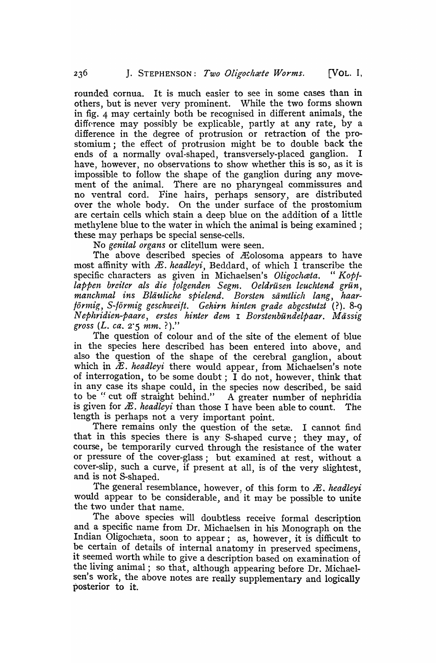rounded cornua. It is much easier to see in some cases than in others, but is never very prominent. While the two forms shown in fig. 4 may certainly both be recognised in different animals, the difference may possibly be explicable, partly at any rate, by a difference in the degree of protrusion or retraction of the prostomium; the effect of protrusion might be to double back the ends of a normally oval-shaped, transversely-placed ganglion. I have, however, no observations to show whether this is so, as it is impossible to follow the shape of the ganglion during any movement of the animal. There are no pharyngeal commissures and no ventral cord. Fine hairs, perhaps sensory, are distributed over the whole body. On the under surface of the prostominm are certain cells which stain a deep blue on the addition of a little methylene blue to the water in which the animal is being examined; these may perhaps be special sense-cells.

No *genital organs* or clitellum were seen.

The above described species of Æolosoma appears to have most affinity with  $\mathcal{E}$ . *headleyi*, Beddard, of which  $\overline{I}$  transcribe the specific characters as given in Michaelsen's *Oligochata*. "Kopf*tappen breitcr als die folgenden Segm. Oeldriisen leuclttend grun, manChl1tal ins Blii'l/'liche spielend. Borsten siimtlich lang, haar- /or11tig, S-/ormig geschu:eift. Gehirn hinten grade abgcstutzt* (?). 8-9 N *ephridien-paare, erstes hinter dem* I *Borstenbundelpaar. Massig gross (L. ca.* 2'5 *mm.* ? )."

The question of colour and of the site of the element of blue in the species here described has been entered into above, and also the question of the shape of the cerebral ganglion, about which in  $\tilde{x}$ . headleyi there would appear, from Michaelsen's note of interrogation, to be some doubt; I do not, however, think that in any case its shape could, in the species now described, be said to be " cut off straight behind." A greater number of nephridia is given for  $E$ . *headleyi* than those I have been able to count. The length is perhaps not a very important point.

There remains only the question of the setæ. I cannot find that in this species there is any· S-shaped curve; they may, of course, be temporarily curved through the resistance of the water or pressure of the cover-glass; but examined at rest, without a cover-slip, such a curve, if present at all, is of the very slightest, and is not S-shaped.

The general resemblance, however, of this form to *Æ*, *headleyi* would appear to be considerable, and it may be possible to unite the two under that name.

The above species will doubtless receive formal description and a specific name from Dr. Michaelsen in his Monograph on the Indian Oligochæta, soon to appear; as, however, it is difficult to be certain of details of internal anatomy in preserved specimens, it seemed worth while to give a description based on examination of the living animal; so that, although appearing before Dr. Michaelsen's work, the above notes are really supplementary and logically posterior to it.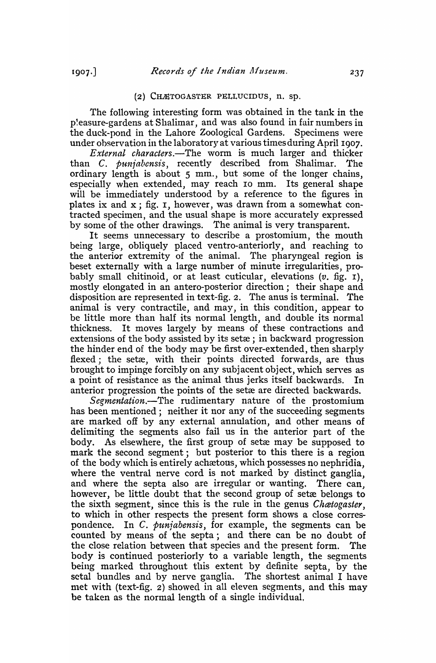### (2) CHÆTOGASTER PELLUCIDUS,  $n$ . sp.

The following interesting form was obtained in the tank in the p'easure-gardens at Shalimar, and was also found in fair numbers in the duck-pond in the Lahore Zoological Gardens. Specimens were under observation in the laboratory at various times during April 1907.

*External characters.*—The worm is much larger and thicker than C. *punjabensis*, recently described from Shalimar. The ordinary length is about 5 mm., but some of the longer chains, especially when extended, may reach 10 mm. Its general shape will be immediately understood by a reference to the figures in plates ix and  $x$ ; fig. I, however, was drawn from a somewhat contracted specimen, and the usual shape is more accurately expressed by some of the other drawings. The animal is very transparent.

It seems unnecessary to describe a prostomium, the mouth being large, obliquely placed ventro-anteriorly, and reaching to the anterior extremity of the animal. The pharyngeal region is beset externally with a large number of minute irregularities, prabably small chitinoid, or at least cuticular, elevations (v. fig. 1), mostly elongated in an antero-posterior direction; their shape and disposition are represented in text-fig. 2. The anus is terminal. The animal is very contractile, and may, in this condition, appear to be little more than half its normal length, and double its normal thickness. It moves largely by means of these contractions and extensions of the body assisted by its setæ; in backward progression the hinder end of the body may be first over-extended, then sharply flexed; the setæ, with their points directed forwards, are thus brought to impinge forcibly on any subjacent object, which seryes as a point of resistance as the animal thus jerks itself backwards. In anterior progression the points of the setæ are directed backwards.

*Segmentation.-The* rudimentary nature of the prostomium has been mentioned; neither it nor any of the succeeding segments are marked off by any external annulation, and other means of delimiting the segments also fail us in the anterior part of the body. As elsewhere, the first group of setæ may be supposed to mark the second segment; but posterior to this there is a region of the body which is entirely achaetous, which possesses no nephridia, where the ventral nerve cord is not marked by distinct ganglia, and where the septa also are irregular or wanting. There can, however, be little doubt that the second group of setæ belongs to the sixth segment, since this is the rule in the genus *Cluetogaster,*  to which in other respects the present form shows a close correspondence. In C. *punjabensis*, for example, the segments can be counted by means of the septa; and there can be no doubt of the close relation between that species and the present form. The body is continued posteriorly to a variable length, the segments being marked throughout this extent by definite septa, by the setal bundles and by nerve ganglia. The shortest animal I have met with (text-fig. 2) showed in all eleven segments, and this may be taken as the normal length of a single individual.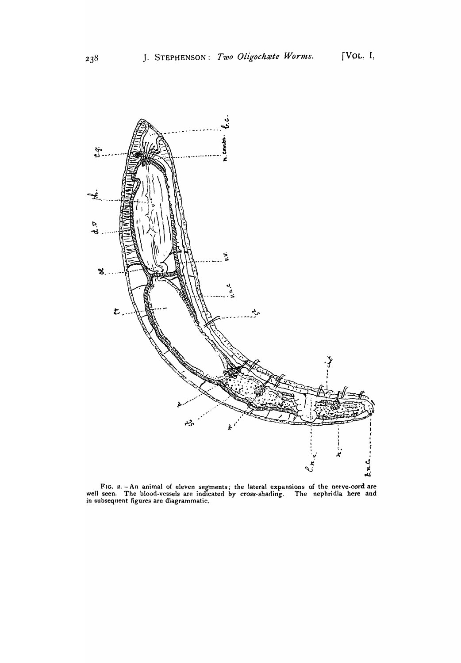

FIG. 2.  $-An$  animal of eleven segments; the lateral expansions of the nerve-cord are well seen. The blood.vessels are indicated by cross.shading. The nephridia here and in subsequent figures are diagrammatic.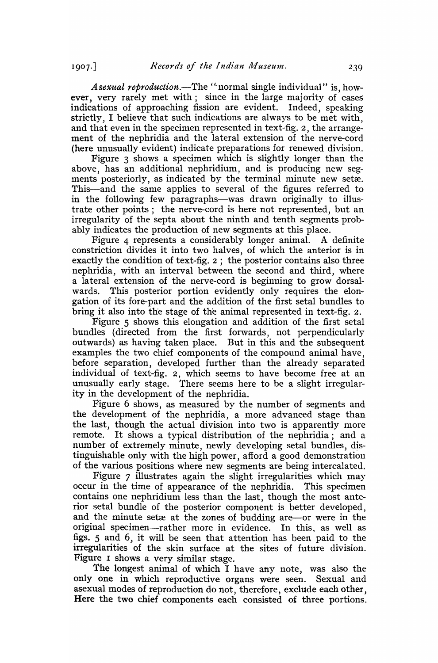*Asexual reproduction.-The* ('normal single individual" is, however, very rarely met with; since in the large majority of cases indications of approaching fission are evident. Indeed, speaking strictly, I believe that such indications are always to be met with, and that even in the specimen represented in text-fig. 2, the arrangement of the nephridia and the lateral extension of the nerve-cord (here unusually evident) indicate preparations for renewed division.

Figure 3 shows a specimen which is slightly longer than the above, has an additional nephridium, and is producing new segments posteriorly, as indicated by the terminal minute new setæ. This-and the same applies to several of the figures referred to in the following few paragraphs--was drawn originally to illustrate other points; the nerve-cord is here not represented, but an irregularity of the septa about the ninth and tenth segments probably indicates the production of new segments at this place.

Figure 4 represents a considerably longer animal. A definite constriction divides it into two halves, of which the anterior is in exactly the condition of text-fig. 2; the posterior contains also three nephridia, with an interval between the second and third, where a lateral extension of the nerve-cord is beginning to grow dorsalwards. This posterior portion evidently only requires the elongation of its fore-part and the addition of the first setal bundles to bring it also into the stage of the animal represented in text-fig. 2.

Figure 5 shows this elongation and addition of the first setal bundles (directed from the first forwards, not perpendicularly outwards) as having taken place. But in this and the subsequent examples the two chief components of the compound animal have, before separation, developed further than the already separated individual of text-fig. 2, which seems to have become free at an unusually early stage. There seems here to be a slight irregularity in the development of the nephridia.

Figure 6 shows, as measured by the number of segments and the development of the nephridia, a more advanced stage than the last, though the actual division into two is apparently more remote. It shows a typical distribution of the nephridia; and a num ber of extremely minute, newly developing setal bundles, distinguishable only with the high power, afford a good demonstration of the various positions where new segments are being intercalated.

Figure 7 illustrates again the slight irregularities which may occur in the time of appearance of the nephridia. This specimen contains one nephridium less than the last, though the most anterior setal bundle of the posterior component is better developed, and the minute setæ at the zones of budding are-or were in the original specimen-rather more in evidence. In this, as well as figs. 5 and 6, it will be seen that attention has been paid to the irregularities of the skin surface at the sites of future division. Figure I shows a very similar stage.

The longest animal of which I have any note, was also the only one in which reproductive organs were seen. Sexual and as exual modes of reproduction do not, therefore, exclude each other, Here the two chief components each consisted of three portions.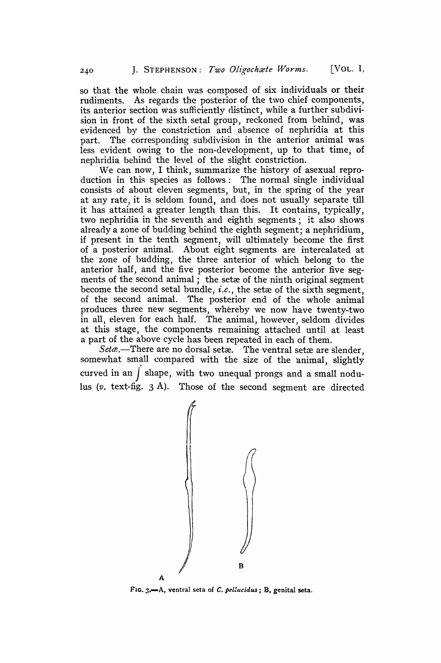so that the whole chain was composed of six individuals or their rudiments. As regards the posterior of the two chief components, its anterior section was sufficiently distinct, while a further subdivision in front of the sixth setal group, reckoned from behind, was evidenced by the constriction and absence of nephridia at this part. The corresponding subdivision in the anterior animal was less evident owing to the non-development, up to that time, of nephridia behind the level of the slight constriction.

We can now, I think, summarize the history of asexual reproduction in this species as follows: The normal single individual consists of about eleven segments, but, in the spring of the year at any rate, it is seldom found, and does not usually separate till it has attained a greater length than this. It contains, typically, two nephridia in the seventh and eighth segments; it also shows already a zone of budding behind the eighth segment; a nephridium, if present in the tenth segment, will ultimately become the first of a posterior animal. About eight segments are intercalated at the zone of budding, the three· anterior of which belong to the anterior half, and the five posterior become the anterior five segments of the second animal; the setæ of the ninth original segment become the second setal bundle, *i.e.*, the setxe of the sixth segment, of the second animal. The posterior end of the whole animal produces three new segments, whereby we now have twenty-two in all, eleven for each half. The animal, however, seldom divides at this stage, the components remaining attached until at least

a part of the above cycle has been repeated in each of them.<br>Seta exactle are are no dorsal seta as The ventral setae are slender, somewhat small compared with the size of the 'animal, slightly curved in an *)* shape, with two unequal prongs and a small nodulus (v. text-fig. 3 A). Those of the second segment are directed



FIG. 3.-A, ventral seta of C. *pellllcidus;* B, genital seta.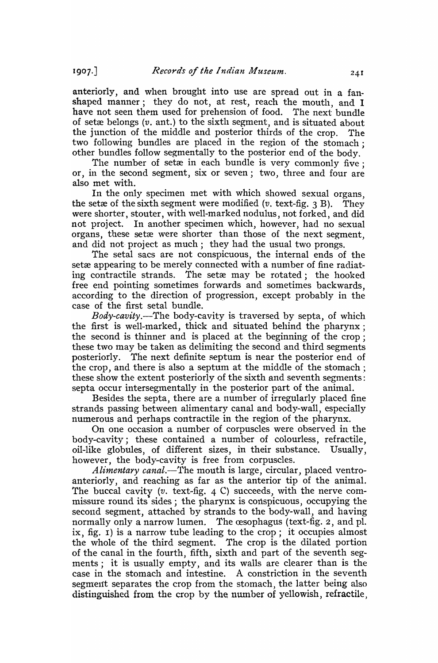anteriorly, and when brought into use are spread out in a fanshaped manner; they do not, at rest, reach the mouth, and I have not seen them used for prehension of food. The next bundle of setæ belongs  $(v, \text{ant.})$  to the sixth segment, and is situated about the junction of the middle and posterior thirds of the crop. The two following bundles are placed in the region of the stomach; other bundles follow segmentally to the posterior end of the body,

The number of setæ in each bundle is very commonly five; or, in the second segment, six or seven; two, three and four are also met with.

In the only specimen met with which showed sexual organs, the setxe of the sixth segment were modified  $(v. \text{text-fig. } 3 B)$ . They were shorter, stouter, with well-marked nodulus, not forked, and did not project. In another specimen which, however, had no sexual organs, these setæ were shorter than those of the next segment. and did not project as much; they had the usual two prongs.

The setal sacs are not conspicuous, the internal ends of the setæ appearing to be merely connected with a number of fine radiating contractile strands. The setæ may be rotated; the hooked free end pointing sometimes forwards and sometimes backwards, according to the direction of progression, except probably in the case of the first setal bundle.

*Body-cavity.-The* body-cavity is traversed by septa, of which the first is well-marked, thick and situated behind the pharynx; the second is thinner and is placed at the beginning of the crop; these two may be taken as delimiting the second and third segments posteriorly. The next definite septum is near the posterior end of the crop, and there is also a septum at the middle of the stomach .; these show the extent posteriorly of the sixth and seventh segments: septa occur intersegmentally in the posterior part of the animal.

Besides the septa, there are a number of irregularly placed fine strands passing between alimentary canal and body-wall, especially numerous and perhaps contractile in the region of the pharynx.

On one occasion a number of corpuscles were observed in the body-cavity; these contained a number of colourless, refractile, oil-like globules, of different sizes, in their substance. Usually, however, the body-cavity is free from corpuscles.

*Alimentary canal.-The* mouth is large, circular, placed ventroanteriorly, and reaching as far as the anterior tip of the animal. The buccal cavity (v. text-fig. 4 C) succeeds, with the nerve commissure round its sides; the pharynx is conspicuous, occupying the second segment, attached by strands to the body-wall, and having normally only a narrow lumen. The esophagus (text-fig. 2, and pl. ix, fig. I) is a narrow tube leading to the crop; it occupies almost the whole of the third segment. The crop is the dilated portion of the canal in the fourth, fifth, sixth and part of the seventh segments; it is usually empty, and its walls are clearer than is the case in the stomach and intestine. A constriction in the seventh segment separates the crop from the stomach, the latter being also distinguished from the crop by the number of yellowish, refractile,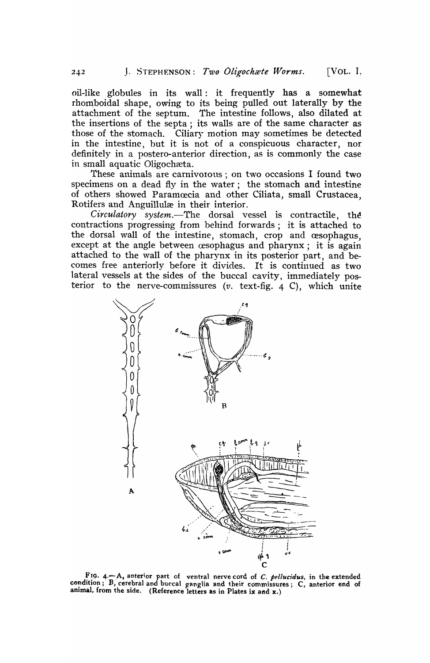oil-like globules in its wall: it frequently has a somewhat rhomboidal shape, owing to its being pulled out laterally by the attachment of the septum. The intestine follows, also dilated at the insertions of the septa; its walls are of the same character as those of the stomach. Ciliary motion may sometimes be detected in the intestine, but it is not of a conspicuous character, nor definitely in a postero-anterior direction, as is commonly the case in small aquatic Oligochæta.

These animals are carnivorous; on two occasions I found two specimens on a dead fly in the water; the stomach and intestine of others showed Paramoecia and other Ciliata, small Crustacea, Rotifers and Anguilluhe in their interior.

*Circulatory system.*—The dorsal vessel is contractile, the contractions progressing from behind forwards; it is attached to the dorsal wall of the intestine, stomach, crop and œsophagus, except at the angle between  $\alpha$  exophagus and pharynx; it is again attached to the wall of the pharynx in its posterior part, and becomes free anteriorly before it divides. It is continued as two lateral vessels at the sides of the buccal cavity, immediately posterior to the nerve-commissures  $(v. \text{text-fig. } 4 \text{ C})$ , which unite



FIG. 4.<sup>-</sup>A, anterior part of ventral nerve cord of *C. pellucidus*, in the extended condition; B, cerebral and buccal ganglia and their commissures; C, anterior end of animal, from the side. (Reference letters as in Plates ix and  $x_i$ )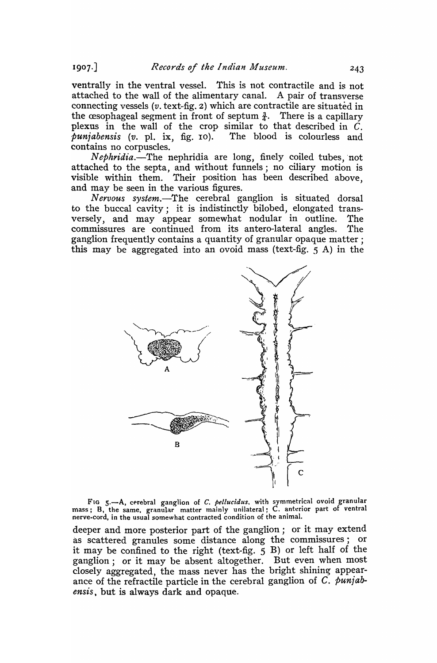ventrally in the ventral vessel. This is not contractile and is not attached to the wall of the alimentary canal. A pair of transverse connecting vessels ( $v$ , text-fig. 2) which are contractile are situated in the cesophageal segment in front of septum  $\frac{3}{4}$ . There is a capillary plexus in the wall of the crop similar to that described in  $\dot{C}$ .<br>*puniabensis* (v. pl. ix. fig. 10). The blood is colourless and  $p$ *unjabensis (v. pl. ix, fig. 10).* contains no corpuscles.

*Nephridia.*-The nephridia are long, finely coiled tubes, not attached to the septa, and without funnels; no ciliary motion is visible within them. Their position has been described above, and may be seen in the various figures.

*Nervous system.-The* cerebral ganglion is situated dorsal to the buccal cavity; it is indistinctly bilobed, elongated transversely, and may appear somewhat nodular in outline. The commissures are continued from its antero-Iateral angles. The ganglion frequently contains a quantity of granular opaque matter; this may be aggregated into an ovoid mass (text-fig. 5 A) in the



FIG 5.-A, cerebral ganglion of *C. pellucidus*, with symmetrical ovoid granular mass; B, the same, granular matter mainly unilateral; C. anterior part of ventral nerve-cord, in the usual somewhat contracted condition of the animal.

deeper and more posterior part of the ganglion; or it may extend as scattered granules some distance along the commissures; or it may be confined to the right (text-fig.  $\frac{1}{5}$  B) or left half of the ganglion; or 'it may be absent altogether. But even when most closely aggregated, the mass never has the bright shining appearance of the refractile particle in the cerebral ganglion of C. *punjabensis,* but is always dark and opaque.

 $1907.$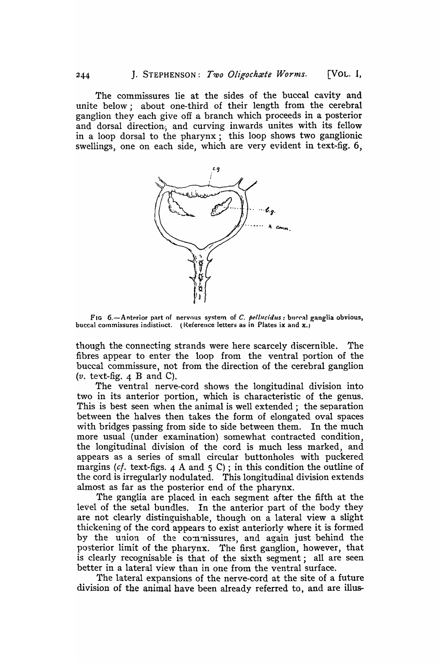The commissures lie at the sides of the buccal cavity and unite below; about one-third of their length from the cerebral ganglion they each give off a branch which proceeds in a posterior and dorsal direction, and curving inwards unites with its fellow in a loop dorsal to the pharynx; this loop shows two ganglionic swellings, one on each side, which are very evident in text-fig. 6,



FIG 6.-Anterior part of nervous system of C. pellucidus: buccal ganglia obvious, buccal commissures indistinct. (Reference letters as in Plates ix and  $x_i$ )

though the connecting strands were here scarcely discernible. The fibres appear to enter the loop from the ventral portion of the buccal commissure, not from the direction of the cerebral ganglion *(v.* text-fig. 4 B and C).

The ventral nerve-cord shows the longitudinal division into two in its anterior portion, which is characteristic of the genus. This is best seen when the animal is well extended; the separation between the halves then takes the form of elongated oval spaces with bridges passing from side to side between them. In the much more usual (under examination) somewhat contracted condition, the longitudinal division of the cord is much less marked, and appears as a series of small circular buttonholes with puckered margins (cf. text-figs. 4 A and 5 C); in this condition the outline of the cord is irregularly nodulated. This longitudinal division extends almost as far as the posterior end of the pharynx.

The ganglia are placed in each segment after the fifth at the level of the setal bundles. In the anterior. part of the body they are not clearly distinguishable, though on a lateral view a slight thickening of the cord appears to exist anteriorly where it is formed by the union of the commissures, and again just behind the posterior limit of the pharynx. The first ganglion, however, that is clearly recognisable is that of the sixth segment; all are seen better in a lateral view than in one from the ventral surface.

The lateral expansions of the nerve-cord at the site of a future division of the animal have been already referred to, and are illus-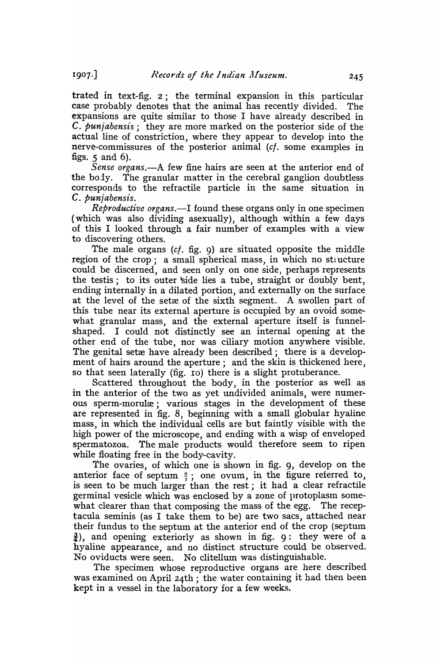trated in text-fig. 2; the terminal expansion in this particular case probably denotes that the animal has recently divided. The expansions are quite similar to those I have already described in C. *punjabensis;* they are more marked on the posterior side of the actual line of constriction, where they appear to develop into the nerve-commissures of the posterior animal *(c/.* some examples in figs.  $5$  and  $6$ ).

Sense organs.—A few fine hairs are seen at the anterior end of the body. The granular matter in the cerebral ganglion doubtless corresponds to the refractile particle in the same situation in C. *punjabensis.* 

*Reproductive organs.-I* found these organs only in one specimen (which was also dividing asexually), although within a few days of this I looked through a fair number of examples with a view to discovering others.

The male organs  $(cf. fig. 9)$  are situated opposite the middle region of the crop; a small spherical mass, in which no stuncture could be discerned, and seen only on one side, perhaps represents the testis; to its outer side lies a tube, straight or doubly bent, ending internally in a dilated portion, and externally on the surface at the level of the setxe of the sixth segment. A swollen part of this tube near its external aperture is occupied by an ovoid somewhat granular mass, and the external aperture itself is funnelshaped. I could not distinctly see an internal opening at the other end of the tube, nor was ciliary motion anywhere visible. The genital setx have already been described; there is a development of hairs around the aperture; and the skin is thickened here, so that seen laterally (fig. 10) there is a slight protuberance.

Scattered throughout the body, in the posterior as well as in the anterior of the two as yet undivided animals, were numerous sperm-morulæ; various stages in the development of these are represented in fig. 8, beginning with a small globular hyaline mass, in which the individual cells are but faintly visible with the high power of the microscope, and ending with a wisp of enveloped spermatozoa. The male products would therefore seem to ripen while floating free in the body-cavity.

The ovaries, of which one is shown in fig. 9, develop on the anterior face of septum  $\frac{a}{7}$ ; one ovum, in the figure referred to, is seen to be much larger than the rest; it had a clear refractile germinal vesicle which was enclosed by a zone of protoplasm somewhat clearer than that composing the mass of the egg. The receptacula seminis (as I take them to be) are two sacs, attached near their fundus to the septum at the anterior end of the crop (septum  $\frac{3}{4}$ ), and opening exteriorly as shown in fig. 9: they were of a hyaline appearance, and no distinct structure could be observed. No oviducts were seen. No clitellum was distinguishable.

The specimen whose reproductive organs are here described was examined on April 24th; the water containing it had then been kept in a vessel in the laboratory for a few weeks.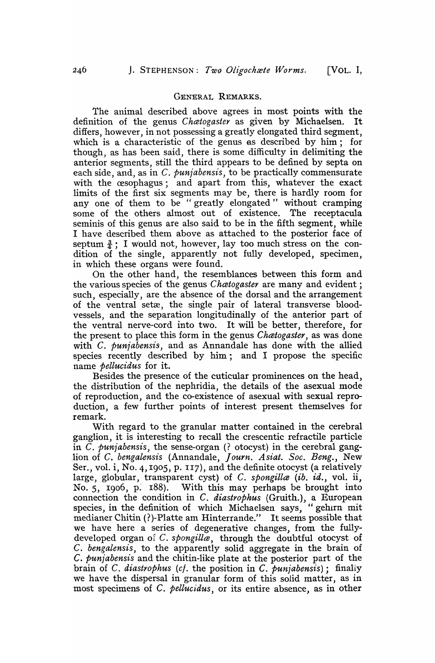## GENERAL REMARKS.

The animal described above agrees in most points with the definition of the genus *Chcetogaster* as given by Michaelsen. It differs, however, in not possessing a greatly elongated third segment, which is a characteristic of the genus as described by him; for though, as has been said, there is some difficulty in delimiting the anterior segments, still the third appears to be defined by septa on each side, and, as in C. *punjabensis*, to be practically commensurate with the cesophagus; and apart from this, whatever the exact limits of the first six segments may be, there is hardly room for any one of them to be "greatly elongated" without cramping some of the others almost out of existence. The receptacula seminis of this genus are also said to be in the fifth segment, while I have described them above as attached to the posterior face of septum  $\frac{3}{4}$ ; I would not, however, lay too much stress on the condition of the single, apparently not fully developed, specimen, in which these organs were found.

On the other hand, the resemblances between this form and the various species of the genus *Chatogaster* are many and evident; such, especially, are the absence of the dorsal and the arrangement of the ventral setæ, the single pair of lateral transverse bloodvessels, and the separation longitudinally of the anterior part of the ventral nerve-cord into two. It will be better, therefore, for the present to place this form in the genus *Chcetogaster,* as was done with C. *punjabensis*, and as Annandale has done with the allied species recently described by him; and I propose the specific name *pellucidus* for it.

Besides the presence of the cuticular prominences on the head, the distribution of the nephridia, the details of the asexual mode of reproduction, and the co-existence of asexual with sexual reproduction, a few further points of interest present themselves for remark.

With regard to the granular matter contained in the cerebral ganglion, it is interesting to recall the crescentic refractile particle in *C. punjabensis*, the sense-organ (? otocyst) in the cerebral ganglion of C. *bengalensis* (Annandale, *Journ. Asiat. Soc. Beng.*, New Ser., vol. i, No. 4, 1905, p. 117), and the definite otocyst (a relatively large, globular, transparent cyst) of C. *spongilla* (ib. id., vol. ii, No. 5, 1906, p. 188). With this may perhaps be brought into connection the condition in C. *diastrophus* (Gruith.), a European species, in the definition of which Michaelsen says, "gehun mit medianer Chitin (?)-Platte am Hinterrande." It seems possible that we have here a series of degenerative changes, from the fullydeveloped organ of C. *spongilla*, through the doubtful otocyst of C. *bengalensis,* to the apparently solid aggregate in the brain of C. *punjabensis* and the chitin-like plate at the posterior part of the brain of *C. diastrophus (cf. the position in <i>C. punjabensis*): finally we have the dispersal in granular form of this solid matter, as in most specimens of C. *pellucidus,* or its entire absence, as in other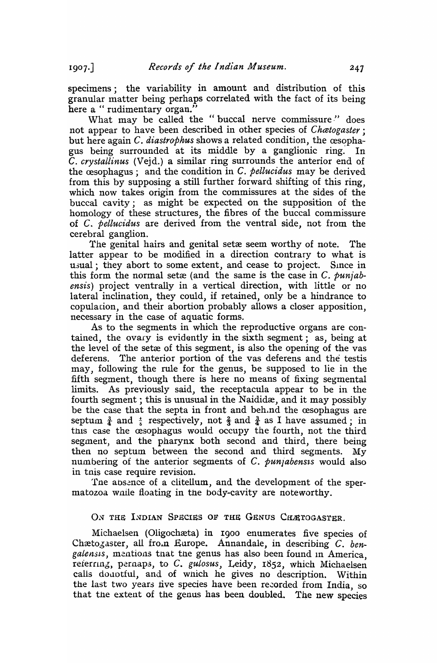$1907.$ 

specimens; the variability in amount and distribution of this granular matter being perhaps correlated with the fact of its being here a " rudimentary organ."

What may be called the "buccal nerve commissure" does not appear to have been described in other species of *Chatogaster*: but here again *C. diastrophus* shows a related condition, the cesophagus being surrounded at its middle by a ganglionic ring.' In C. *crystallinus* (Vejd.) a similar ring surrounds the anterior end of the cesophagus; and the condition in C. *pellucidus* may be derived from this by supposing a still further forward shifting of this ring, which now takes origin from the commissures at the sides of the buccal cavity; as might be expected on the supposition of the homology of these structures, the fibres of the buccal commissure of C. *pellucidus* are derived from the ventral side, not from the cerebral ganglion.

The genital hairs and genital set a seem worthy of note. The latter appear to be modified in a direction contrary to what is usual; they abort to some extent, and cease to project. Since in this form the normal setxe (and the same is the case in C. *punjabensis)* project ventrally in a vertical direction, with little or no lateral inclination, they could, if retained, only be a hindrance to copulation, and their abortion probably allows a closer apposition, necessary in the case of aquatic forms.

As to the segments in which the reproductive organs are contained, the ovary is evidantly in the sixth segment; as, being at the level of the set a of this segment, is also the opening of the vas deferens. The anterior portion of the vas deferens and the testis may, following the rule for the genus, be supposed to lie in the fifth segment, though there is here no means of fixing segmental limits. As previously said, the receptacula appear to be in the fourth segment; this is unusual in the Naididæ, and it may possibly be the case that the septa in front and beh.nd the cesophagus are septum  $\frac{3}{4}$  and  $\frac{1}{5}$  respectively, not  $\frac{2}{3}$  and  $\frac{3}{4}$  as I have assumed; in this case the œsophagus would occupy the fourth, not the third segment, and the pharynx both second and third, there being then no septum between the second and third segments. My numbering of the anterior segments of  $C$ . punjabens would also in tnis case require revision.

The absence of a clitellum, and the development of the spermatozoa wnile floating in the body-cavity are noteworthy.

ON THE INDIAN SPECIES OF THE GENUS CHÆTOGASTER.

Michaelsen (Oligochæta) in 1900 enumerates five species of Chætogaster, all fro.n Europe. Annandale, in describing C. ben*gatensts,* mentions that the genus has also been found In America, reierring, pernaps, to C. *gulosus*, Leidy, 1852, which Michaelsen calls dountful, and of wnich he gives no description. Within the last two years five species have been recorded from India, so that the extent of the genus has been doubled. The new species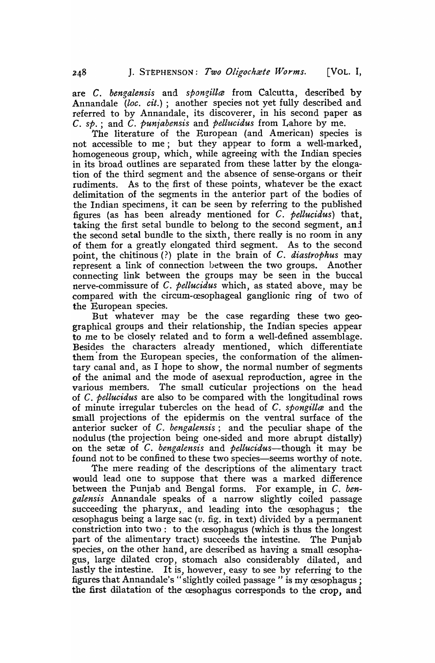are C. *bengalensis* and *spongilla* from Calcutta, described by Annandale *(loc. cit.);* another species not yet fully described and referred to by Annandale, its discoverer, in his second paper as C. *sp.;* and C. *puniabensis* and *pellucidus* from Lahore by me.

The literature of the European (and American) species is not accessible to me; but they appear to form a well-marked, homogeneous group, which, while agreeing with the Indian species in its broad outlines are separated from these latter by the elongation of the third segment and the absence of sense-organs or their rudiments. As to the first of these points, whatever be the exact delimitation of the segments in the anterior part of the bodies of the Indian specimens, it can be seen by referring to the published figures (as has been already mentioned for C. *pellucidus)* that, taking the first setal bundle to belong to the second segment, anl the second setal bundle to the sixth, there really is no room in any of them for a greatly elongated third segment. As to the second point, the chitinous (?) plate in the brain of C. *diastrophus* may represent a link of connection between the two groups. Another connecting link between the groups may be seen in the buccal nerve-commissure of C. *pellucidus* which, as stated above, may be compared with the circum-cesophageal ganglionic ring of two of the European species.

But whatever may be the case regarding these two geographical groups and their relationship, the Indian species appear to me to be closely related and to form a well-defined assemblage. Besides the characters already mentioned, which differentiate them' from the European species, the conformation of the alimentary canal and, as I hope to show, the normal number of segments of the animal and the mode of asexual reproduction, agree in the various members. The small cuticular projections on the head of C. *pellucidus* are also to be compared with the longitudinal rows of minute irregular tubercles on the head of C. *spongilla* and the small projections of the epidermis on the ventral surface of the anterior sucker of C. *bengalensis;* and the peculiar shape of the nodulus (the projection being one-sided and more abrupt distally) on the setre of C. *bengalensis* and *pellucidus-though* it may he found not to be confined to these two species—seems worthy of note.

The mere reading of the descriptions of the alimentary tract would lead one to suppose that there was a marked difference between . the Punjab and Bengal forms. For example, in C. *bengalensis* Annandale speaks of a narrow slightly coiled passage succeeding the pharynx, and leading into the  $c$ esophagus; the  $c$ esophagus being a large sac ( $v$ . fig. in text) divided by a permanent constriction into two: to the essophagus (which is thus the longest part of the alimentary tract) succeeds the intestine. The Punjab species, on the other hand, are described as having a small œsophagus, large dilated crop, stomach also considerably dilated, and lastly the intestine. It is, however, easy to see by referring to the figures that Annandale's "slightly coiled passage" is my œsophagus; the first dilatation of the esophagus corresponds to the crop, and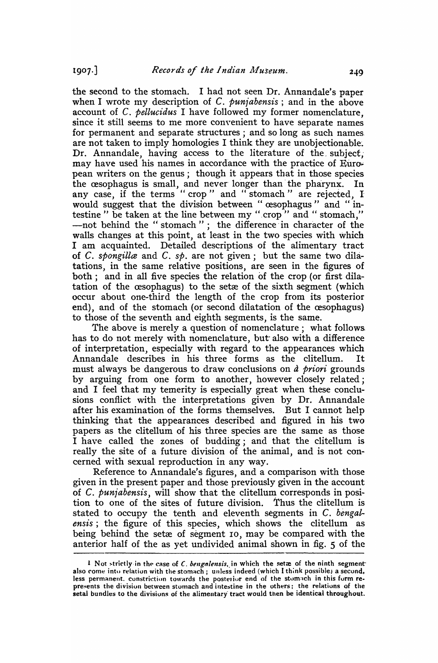the second to the stomach. I had not seen Dr. Annandale's paper when I wrote my description of C. *punjabensis*; and in the above account of C. *pellucidus* I have followed my former nomenclature, since it still seems to me more conyenient to have separate names for permanent and separate structures; and so long as such names. are not taken to imply homologies I think they are unobjectionable. Dr. Annandale, having access to the literature of the subject, may have used his names in accordance with the practice of European writers on the genus; though it appears that in those species the œsophagus is small, and never longer than the pharynx. In any case, if the terms "crop" and "stomach" are rejected, I would suggest that the division between " œsophagus" and "intestine" be taken at the line between my "crop" and "stomach," -not behind the "stomach"; the difference in character of the walls changes at this point, at least in the two species with which I am acquainted. Detailed descriptions of the alimentary tract of C. *spongilla* and C. *sp.* are not given; but the same two dilatations, in the same relative positions, are seen in the figures of both; and in all five species the relation of the crop (or first dilatation of the cesophagus) to the setæ of the sixth segment (which occur about one-third the length of the crop from its posterior end), and of the stomach (or second dilatation of the œsophagus) to those of the seventh and eighth segments, is the same.

The above is merely a question of nomenclature; what follows has to do not merely with nomenclature, but also with a difference of interpretation, especially with regard to the appearances which Annandale describes in his three forms as the clitellum. It must always be dangerous to draw conclusions on *a priori* grounds by arguing from one form to another, however closely related; and I feel that my temerity is especially great when these conclusions conflict with the interpretations given by Dr. Annandale after his examination of the forms themselves. But I cannot help thinking that the appearances described and figured in his two papers as the clitellum of his three species are the same as those I have called the zones of budding; and that the clitellum is really the site of a future division of the animal, and is not concerned with sexual reproduction in any way.

Reference to Annandale's figures, and a comparison with those given in the present paper and those previously given in the account of C. *puniabensis,* will show that the clitellum corresponds in position to one of the sites of future division. Thus the clitellum is stated to occupy the tenth and eleventh segments in C. *bengalensis;* the figure of this species, which shows the clitellum as being behind the setæ of segment 10, may be compared with the anterior half of the as yet undivided animal shown in fig. 5 of the

<sup>1</sup> Not strictly in the case of C. *bengalensis*, in which the setre of the ninth segmentalso come into relation with the stomach; unless indeed (which I think possible.) a second. less permanent. constriction towards the posterior end of the stomach in this form represents the division between stomach and intestine in the others; the relations of the setal bundles to the divisions of the alimentary tract would then be identical throughout.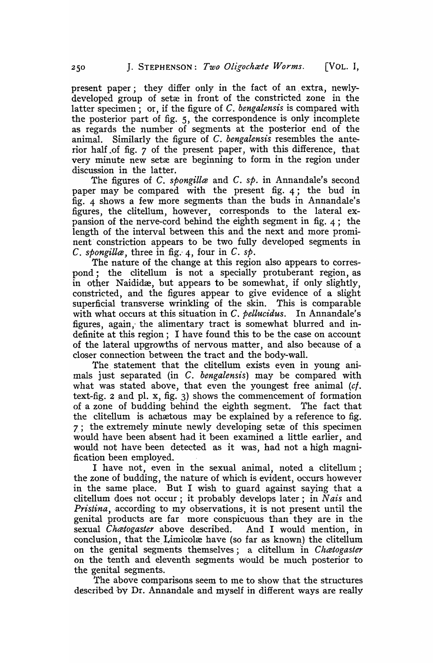present paper; they differ only in the fact of an. extra, newlydeveloped group of setæ in front of the constricted zone in the latter specimen; or, if the figure of C. *bengalensis* is compared with the posterior part of fig. 5, the correspondence is only incomplete as regards the number of segments at the posterior end of the animal. Similarly the figure of C. *bengalensis* resembles the anterior half .of fig. 7 of the present paper, with this difference, that very minute new setæ are beginning to form in the region under discussion in the latter.

The figures of C. *spongilla* and C. *sp.* in Annandale's second paper Inay be compared with the present fig. 4; the bud in fig. 4 shows a few more segments than the buds in Annandale's figures, the clitellum, however, corresponds to the lateral expansion of the nerve-cord behind the eighth segment in fig. 4; the length of the interval between this and the next and more prominent constriction appears to be two fully developed segments in C. *spongilla*, three in fig. 4, four in C.  $s\phi$ .

The nature of the change at this region also appears to correspond; the clitellum is not a specially protuberant region, as in other Naididæ, but appears to be somewhat, if only slightly, constricted, and the figures appear to give evidence of a slight superficial transverse wrinkling of the skin. This is comparable with what occurs at this situation in C. *pellucidus.* In Annandale's figures, again, the alimentary tract is somewhat blurred and indefinite at this region; I have found this to be the case on account of the lateral upgrowths of nervous matter, and also because of a closer connection between the tract and the body-wall. .

The statement that the clitellum exists even in young animals just separated (in C. *bengalensis)* may be compared with what was stated above, that even the youngest free animal  $(cf.$ text-fig. 2 and pl. x, fig. 3) shows the commencement of formation of a zone of budding behind the eighth segment. The fact that the clitellum is achaetous may be explained by a reference to fig.  $7$ ; the extremely minute newly developing set as of this specimen would have been absent had it been examined a little earlier, and would not have been detected as it was, had not a high magnification been employed.

I have not, even in the sexual animal, noted a clitellum; the zone of budding, the nature of which is evident, occurs however in the same place. But I wish to guard against saying that a clitellum does not occur; it probably develops later; in Nais and *Pristina*, according to my observations, it is not present until the genital products are far more conspicuous than they are in the sexual *Chcetogaster* above described. And I would mention, in conclusion, that the Limicolæ have (so far as known) the clitellum on the genital segments themselves; a clitellum in *Chatogaster* on the tenth and eleventh segments would be much posterior to the genital segments.

The above comparisons seem to me to show that the structures described by Dr. Annandale and myself in different ways are really